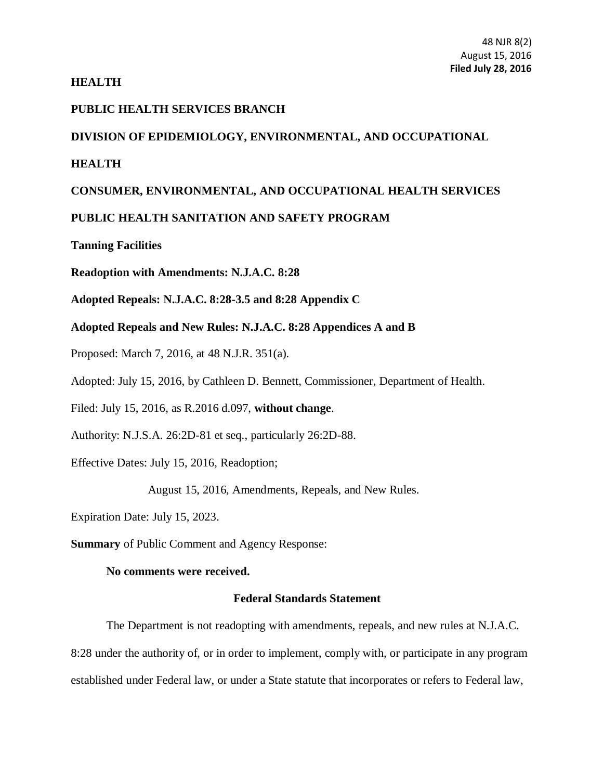# **HEALTH**

### **PUBLIC HEALTH SERVICES BRANCH**

# **DIVISION OF EPIDEMIOLOGY, ENVIRONMENTAL, AND OCCUPATIONAL**

### **HEALTH**

# **CONSUMER, ENVIRONMENTAL, AND OCCUPATIONAL HEALTH SERVICES**

# **PUBLIC HEALTH SANITATION AND SAFETY PROGRAM**

**Tanning Facilities**

**Readoption with Amendments: N.J.A.C. 8:28**

**Adopted Repeals: N.J.A.C. 8:28-3.5 and 8:28 Appendix C**

**Adopted Repeals and New Rules: N.J.A.C. 8:28 Appendices A and B**

Proposed: March 7, 2016, at 48 [N.J.R. 351\(a\).](https://web.lexisnexis.com/research/buttonTFLink?_m=7f839a864e627bdeb65131183d99d57b&_xfercite=%3ccite%20cc%3d%22USA%22%3e%3c%21%5bCDATA%5b47%20N.J.R.%202063%28a%29%5d%5d%3e%3c%2fcite%3e&_butType=4&_butStat=0&_butNum=4&_butInline=1&_butinfo=47%20NJR%20319A&_fmtstr=FULL&docnum=2&_startdoc=1&wchp=dGLbVzt-zSkAA&_md5=561254c41536988060c209276c5d7519)

Adopted: July 15, 2016, by Cathleen D. Bennett, Commissioner, Department of Health.

Filed: July 15, 2016, as R.2016 d.097, **without change**.

Authority: [N.J.S.A. 26:2D-81](https://web.lexisnexis.com/research/buttonTFLink?_m=7f839a864e627bdeb65131183d99d57b&_xfercite=%3ccite%20cc%3d%22USA%22%3e%3c%21%5bCDATA%5b47%20N.J.R.%202063%28a%29%5d%5d%3e%3c%2fcite%3e&_butType=4&_butStat=0&_butNum=6&_butInline=1&_butinfo=NJCODE%2026%3a2H-1&_fmtstr=FULL&docnum=2&_startdoc=1&wchp=dGLbVzt-zSkAA&_md5=e719b5d7b084245c401e2da980a12163) et seq., particularly 26:2D-88.

Effective Dates: July 15, 2016, Readoption;

August 15, 2016, Amendments, Repeals, and New Rules.

Expiration Date: July 15, 2023.

**Summary** of Public Comment and Agency Response:

#### **No comments were received.**

#### **Federal Standards Statement**

The Department is not readopting with amendments, repeals, and new rules at [N.J.A.C.](http://www.lexis.com/research/buttonTFLink?_m=0ee2d49c2d768bf08a786acb1260f3ff&_xfercite=%3ccite%20cc%3d%22USA%22%3e%3c%21%5bCDATA%5b40%20N.J.R.%20949%28a%29%5d%5d%3e%3c%2fcite%3e&_butType=4&_butStat=0&_butNum=75&_butInline=1&_butinfo=NJ%20ADMIN%208%3a28&_fmtstr=FULL&docnum=1&_startdoc=1&wchp=dGLzVzk-zSkAz&_md5=664d01ae4e75ee3b94548ac8b58f4a8e)  [8:28](http://www.lexis.com/research/buttonTFLink?_m=0ee2d49c2d768bf08a786acb1260f3ff&_xfercite=%3ccite%20cc%3d%22USA%22%3e%3c%21%5bCDATA%5b40%20N.J.R.%20949%28a%29%5d%5d%3e%3c%2fcite%3e&_butType=4&_butStat=0&_butNum=75&_butInline=1&_butinfo=NJ%20ADMIN%208%3a28&_fmtstr=FULL&docnum=1&_startdoc=1&wchp=dGLzVzk-zSkAz&_md5=664d01ae4e75ee3b94548ac8b58f4a8e) under the authority of, or in order to implement, comply with, or participate in any program established under Federal law, or under a State statute that incorporates or refers to Federal law,